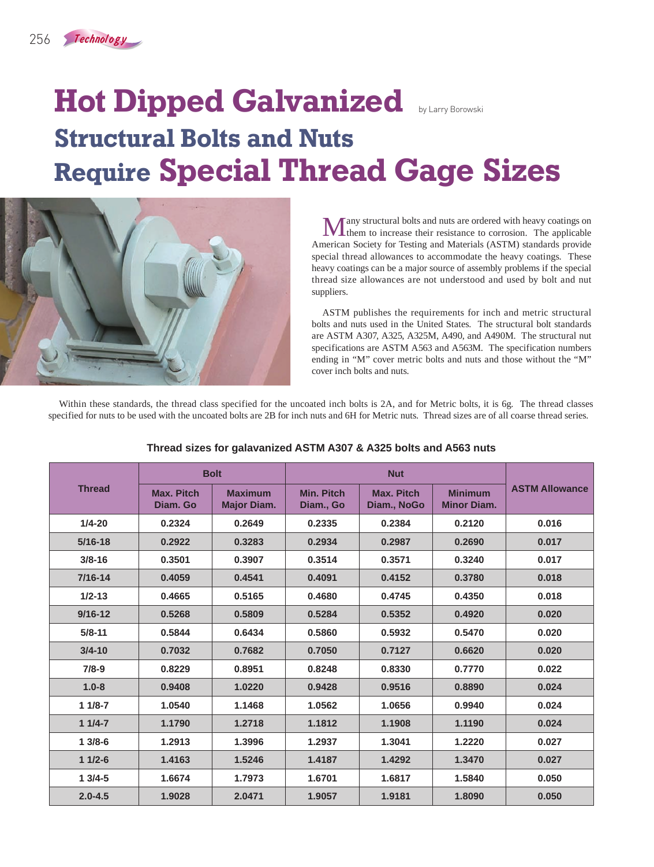## **Hot Dipped Galvanized Structural Bolts and Nuts Require Special Thread Gage Sizes**



Many structural bolts and nuts are ordered with heavy coatings on them to increase their resistance to corrosion. The applicable American Society for Testing and Materials (ASTM) standards provide special thread allowances to accommodate the heavy coatings. These heavy coatings can be a major source of assembly problems if the special thread size allowances are not understood and used by bolt and nut suppliers.

ASTM publishes the requirements for inch and metric structural bolts and nuts used in the United States. The structural bolt standards are ASTM A307, A325, A325M, A490, and A490M. The structural nut specifications are ASTM A563 and A563M. The specification numbers ending in "M" cover metric bolts and nuts and those without the "M" cover inch bolts and nuts.

Within these standards, the thread class specified for the uncoated inch bolts is 2A, and for Metric bolts, it is 6g. The thread classes specified for nuts to be used with the uncoated bolts are 2B for inch nuts and 6H for Metric nuts. Thread sizes are of all coarse thread series.

| <b>Thread</b> | <b>Bolt</b>                   |                                      | <b>Nut</b>                     |                                  |                                      |                       |
|---------------|-------------------------------|--------------------------------------|--------------------------------|----------------------------------|--------------------------------------|-----------------------|
|               | <b>Max. Pitch</b><br>Diam. Go | <b>Maximum</b><br><b>Major Diam.</b> | <b>Min. Pitch</b><br>Diam., Go | <b>Max. Pitch</b><br>Diam., NoGo | <b>Minimum</b><br><b>Minor Diam.</b> | <b>ASTM Allowance</b> |
| $1/4 - 20$    | 0.2324                        | 0.2649                               | 0.2335                         | 0.2384                           | 0.2120                               | 0.016                 |
| $5/16 - 18$   | 0.2922                        | 0.3283                               | 0.2934                         | 0.2987                           | 0.2690                               | 0.017                 |
| $3/8 - 16$    | 0.3501                        | 0.3907                               | 0.3514                         | 0.3571                           | 0.3240                               | 0.017                 |
| $7/16 - 14$   | 0.4059                        | 0.4541                               | 0.4091                         | 0.4152                           | 0.3780                               | 0.018                 |
| $1/2 - 13$    | 0.4665                        | 0.5165                               | 0.4680                         | 0.4745                           | 0.4350                               | 0.018                 |
| $9/16 - 12$   | 0.5268                        | 0.5809                               | 0.5284                         | 0.5352                           | 0.4920                               | 0.020                 |
| $5/8 - 11$    | 0.5844                        | 0.6434                               | 0.5860                         | 0.5932                           | 0.5470                               | 0.020                 |
| $3/4 - 10$    | 0.7032                        | 0.7682                               | 0.7050                         | 0.7127                           | 0.6620                               | 0.020                 |
| $7/8-9$       | 0.8229                        | 0.8951                               | 0.8248                         | 0.8330                           | 0.7770                               | 0.022                 |
| $1.0 - 8$     | 0.9408                        | 1.0220                               | 0.9428                         | 0.9516                           | 0.8890                               | 0.024                 |
| $11/8-7$      | 1.0540                        | 1.1468                               | 1.0562                         | 1.0656                           | 0.9940                               | 0.024                 |
| $11/4-7$      | 1.1790                        | 1.2718                               | 1.1812                         | 1.1908                           | 1.1190                               | 0.024                 |
| $13/8-6$      | 1.2913                        | 1.3996                               | 1.2937                         | 1.3041                           | 1.2220                               | 0.027                 |
| $11/2-6$      | 1.4163                        | 1.5246                               | 1.4187                         | 1.4292                           | 1.3470                               | 0.027                 |
| $13/4-5$      | 1.6674                        | 1.7973                               | 1.6701                         | 1.6817                           | 1.5840                               | 0.050                 |
| $2.0 - 4.5$   | 1.9028                        | 2.0471                               | 1.9057                         | 1.9181                           | 1.8090                               | 0.050                 |

## **Thread sizes for galavanized ASTM A307 & A325 bolts and A563 nuts**